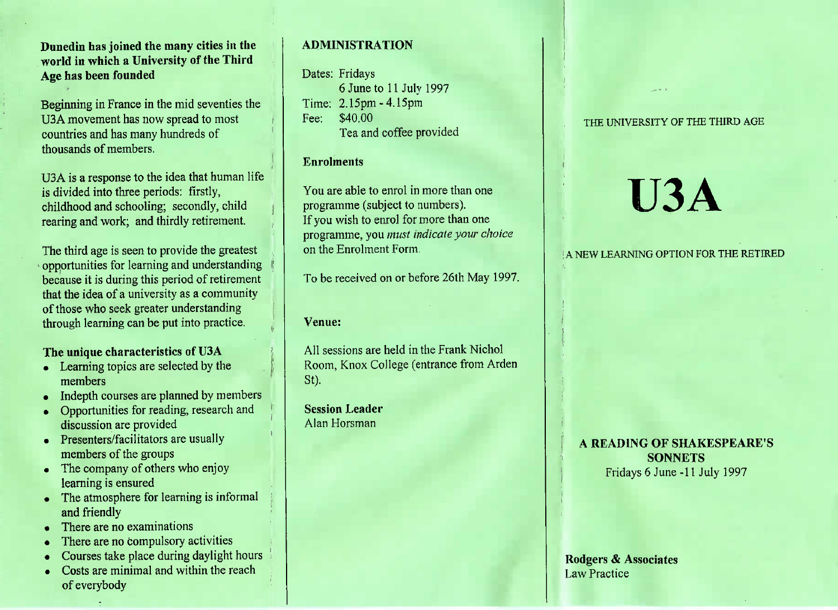# **Dunedin has joined the many cities in theworld in which a University of the ThirdAge has been founded**

Beginning in France in the mid seventies theUSA movement has now spread to mostcountries and has many hundreds ofthousands of members.

U3A is a response to the idea that human lifeis divided into three periods: firstly, childhood and schooling; secondly, childrearing and work; and thirdly retirement.

The third age is seen to provide the greatest opportunities for learning and understanding because it is during this period of retirementthat the idea of a university as a communityof those who seek greater understandingthrough learning can be put into practice.

# **The unique characteristics of U3A**

- Learning topics are selected by themembers
- Indepth courses are planned by members
- Opportunities for reading, research anddiscussion are provided
- Presenters/facilitators are usually members of the groups
- The company of others who enjoylearning is ensured
- The atmosphere for learning is informal and friendly
- There are no examinations
- There are no compulsory activities
- Courses take place during daylight hours
- Costs are minimal and within the reach of everybody

# **ADMINISTRATION**

#### Dates: Fridays

 6 June to 11 July 1997Time: 2.15pm-4.15pmFee: \$40.00rea and coffee provided

## **Enrolments**

You are able to enrol in more than oneprogramme (subject to numbers).f you wish to enrol for more than one programme, you *must indicate your choice*on the Enrolment Form.

To be received on or before 26th May 1997.

#### **Venue:**

All sessions are held in the Frank Nichol Room, Knox College (entrance from ArdenSt).

**Session Leader**Alan Horsman

## THE UNIVERSITY OF THE THIRD AGE

# **U3A**

A NEW LEARNING OPTION FOR THE RETIRED

# **A READING OF SHAKESPEARE'SSONNETS** $\frac{1}{2}$ Fridays 0 June -11 July 1997

## **Rodgers & Associates**Law Practice